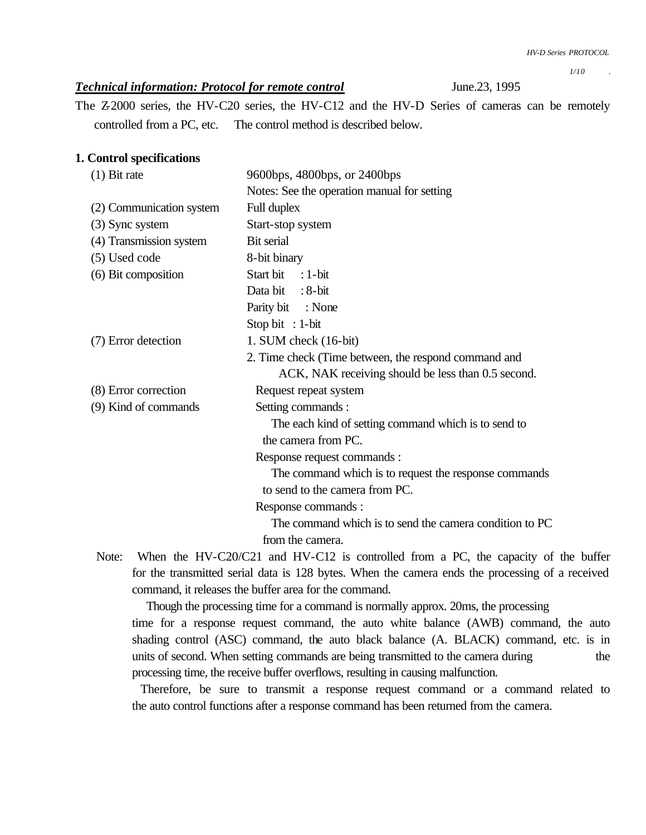## *Technical information: Protocol for remote control* June.23, 1995

The Z-2000 series, the HV-C20 series, the HV-C12 and the HV-D Series of cameras can be remotely controlled from a PC, etc. The control method is described below.

## **1. Control specifications**

| $(1)$ Bit rate           | 9600bps, 4800bps, or 2400bps                            |
|--------------------------|---------------------------------------------------------|
|                          | Notes: See the operation manual for setting             |
| (2) Communication system | Full duplex                                             |
| (3) Sync system          | Start-stop system                                       |
| (4) Transmission system  | Bit serial                                              |
| (5) Used code            | 8-bit binary                                            |
| (6) Bit composition      | Start bit<br>$: 1$ -bit                                 |
|                          | Data bit<br>$: 8$ -bit                                  |
|                          | Parity bit : None                                       |
|                          | Stop bit $: 1$ -bit                                     |
| (7) Error detection      | 1. SUM check (16-bit)                                   |
|                          | 2. Time check (Time between, the respond command and    |
|                          | ACK, NAK receiving should be less than 0.5 second.      |
| (8) Error correction     | Request repeat system                                   |
| (9) Kind of commands     | Setting commands :                                      |
|                          | The each kind of setting command which is to send to    |
|                          | the camera from PC.                                     |
|                          | Response request commands :                             |
|                          | The command which is to request the response commands   |
|                          | to send to the camera from PC.                          |
|                          | Response commands :                                     |
|                          | The command which is to send the camera condition to PC |
|                          | from the camera.                                        |
|                          |                                                         |

 Note: When the HV-C20/C21 and HV-C12 is controlled from a PC, the capacity of the buffer for the transmitted serial data is 128 bytes. When the camera ends the processing of a received command, it releases the buffer area for the command.

 Though the processing time for a command is normally approx. 20ms, the processing time for a response request command, the auto white balance (AWB) command, the auto shading control (ASC) command, the auto black balance (A. BLACK) command, etc. is in units of second. When setting commands are being transmitted to the camera during the processing time, the receive buffer overflows, resulting in causing malfunction.

 Therefore, be sure to transmit a response request command or a command related to the auto control functions after a response command has been returned from the camera.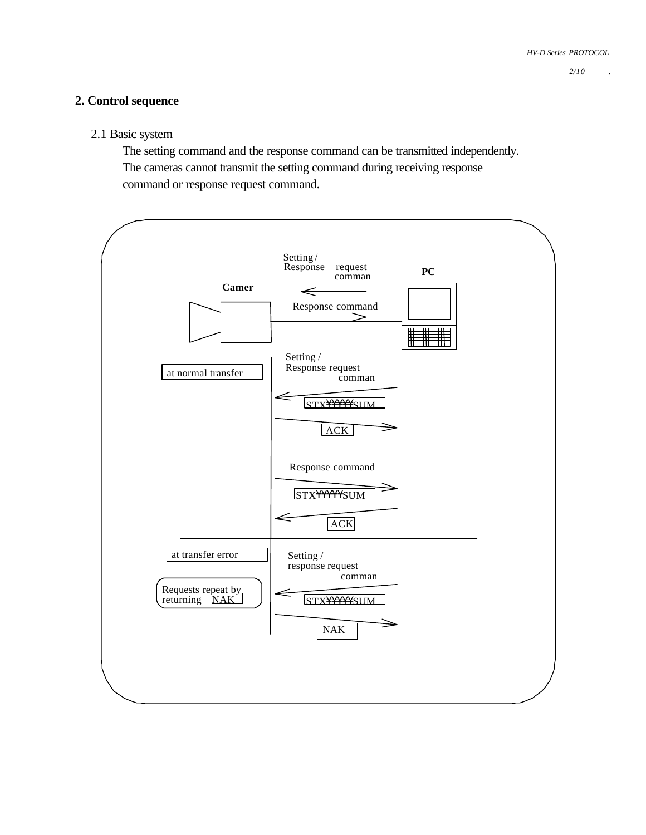# **2. Control sequence**

## 2.1 Basic system

 The setting command and the response command can be transmitted independently. The cameras cannot transmit the setting command during receiving response command or response request command.

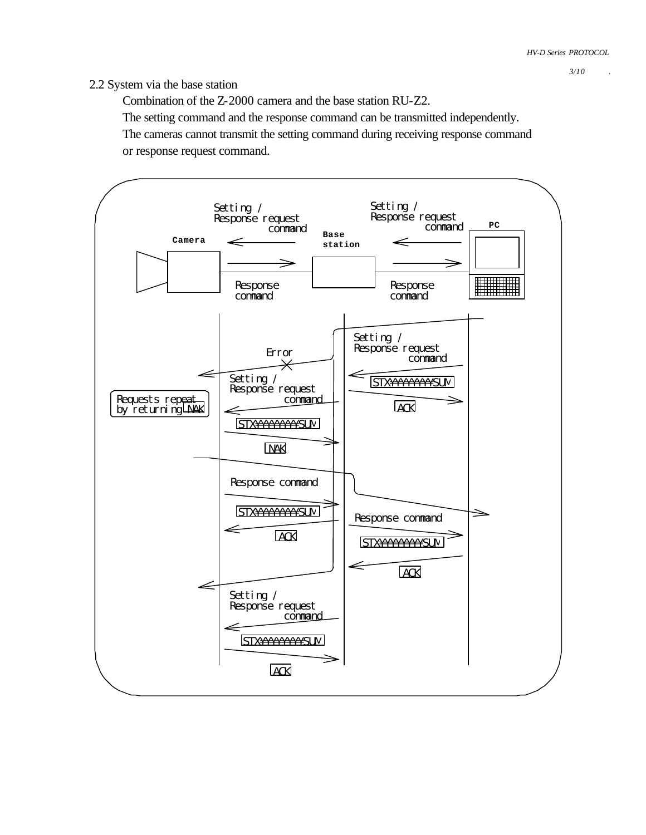## 2.2 System via the base station

Combination of the Z-2000 camera and the base station RU-Z2.

The setting command and the response command can be transmitted independently.

 The cameras cannot transmit the setting command during receiving response command or response request command.

Setting / Setting / Response request Response request **PC** command command **Base Camera station**  $\Rightarrow$ ⇒ **Hillich** Response Response command command Setting / Response request Error command Setting / STX¥¥¥¥¥¥YSUM Response request Requests repeat **command** by returning NAK ACK STX¥¥¥¥¥¥SUM NAK Response command STXYYYYYYYSUM ⇒ Response command **ACK STX¥¥¥¥¥¥SUM** ACK Setting / Response request command STX¥¥¥¥¥¥SUM **ACK**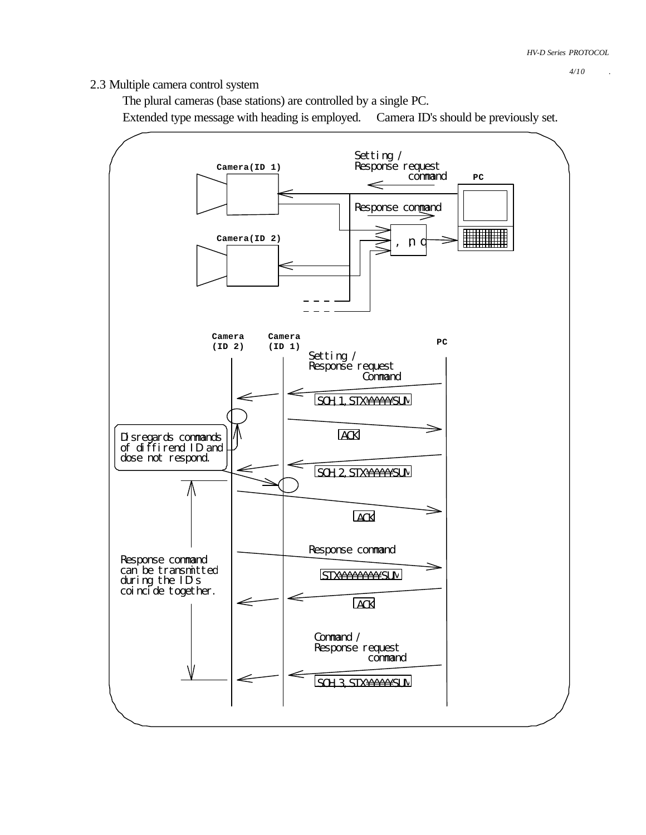## 2.3 Multiple camera control system

The plural cameras (base stations) are controlled by a single PC.

Extended type message with heading is employed. Camera ID's should be previously set.

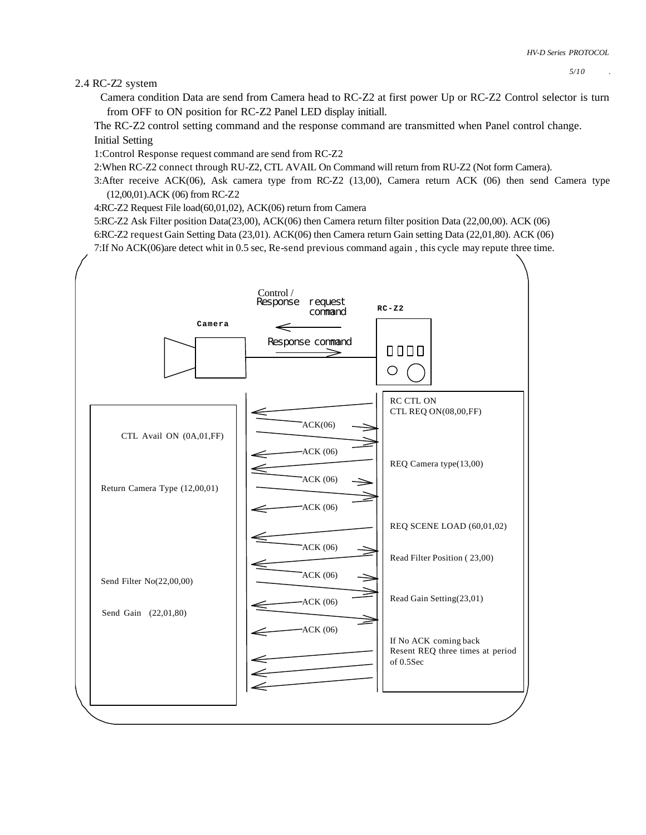2.4 RC-Z2 system

Camera condition Data are send from Camera head to RC-Z2 at first power Up or RC-Z2 Control selector is turn from OFF to ON position for RC-Z2 Panel LED display initiall.

The RC-Z2 control setting command and the response command are transmitted when Panel control change. Initial Setting

1:Control Response request command are send from RC-Z2

2:When RC-Z2 connect through RU-Z2, CTL AVAIL On Command will return from RU-Z2 (Not form Camera).

3:After receive ACK(06), Ask camera type from RC-Z2 (13,00), Camera return ACK (06) then send Camera type (12,00,01).ACK (06) from RC-Z2

4:RC-Z2 Request File load(60,01,02), ACK(06) return from Camera

5:RC-Z2 Ask Filter position Data(23,00), ACK(06) then Camera return filter position Data (22,00,00). ACK (06)

6:RC-Z2 request Gain Setting Data (23,01). ACK(06) then Camera return Gain setting Data (22,01,80). ACK (06)

7:If No ACK(06)are detect whit in 0.5 sec, Re-send previous command again , this cycle may repute three time.

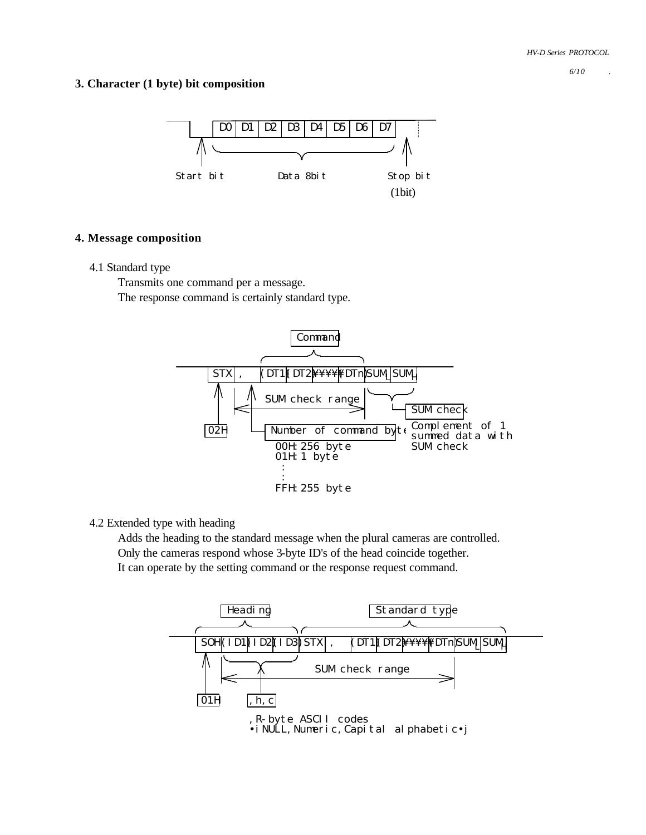#### **3. Character (1 byte) bit composition**



## **4. Message composition**

4.1 Standard type

Transmits one command per a message.

The response command is certainly standard type.



4.2 Extended type with heading

 Adds the heading to the standard message when the plural cameras are controlled. Only the cameras respond whose 3-byte ID's of the head coincide together. It can operate by the setting command or the response request command.

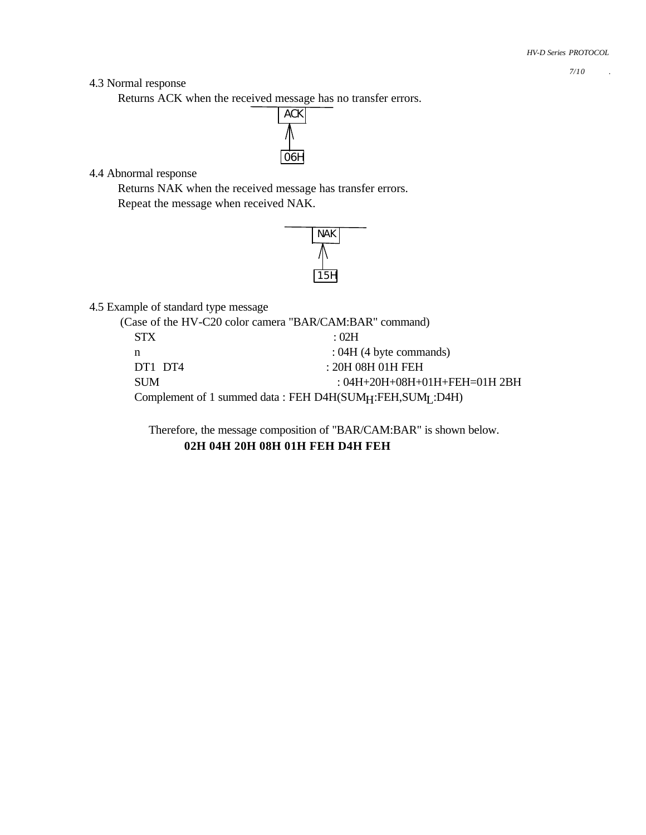4.3 Normal response

Returns ACK when the received message has no transfer errors.



4.4 Abnormal response

 Returns NAK when the received message has transfer errors. Repeat the message when received NAK.



4.5 Example of standard type message

|                                 | (Case of the HV-C20 color camera "BAR/CAM:BAR" command)   |
|---------------------------------|-----------------------------------------------------------|
| <b>STX</b>                      | :02H                                                      |
| n                               | : 04H (4 byte commands)                                   |
| DT <sub>1</sub> DT <sub>4</sub> | : 20H 08H 01H FEH                                         |
| <b>SUM</b>                      | : $04H + 20H + 08H + 01H + FEH = 01H$ 2BH                 |
|                                 | Complement of 1 summed data: FEH D4H(SUMH:FEH, SUM : D4H) |

 Therefore, the message composition of "BAR/CAM:BAR" is shown below. **02H 04H 20H 08H 01H FEH D4H FEH**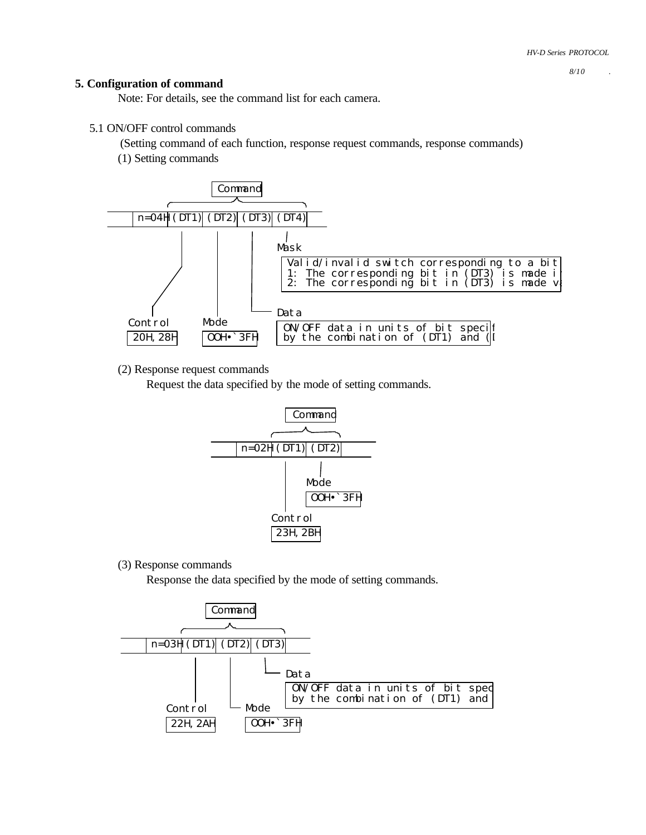#### **5. Configuration of command**

Note: For details, see the command list for each camera.

5.1 ON/OFF control commands

(Setting command of each function, response request commands, response commands)

(1) Setting commands



(2) Response request commands

Request the data specified by the mode of setting commands.



(3) Response commands

Response the data specified by the mode of setting commands.

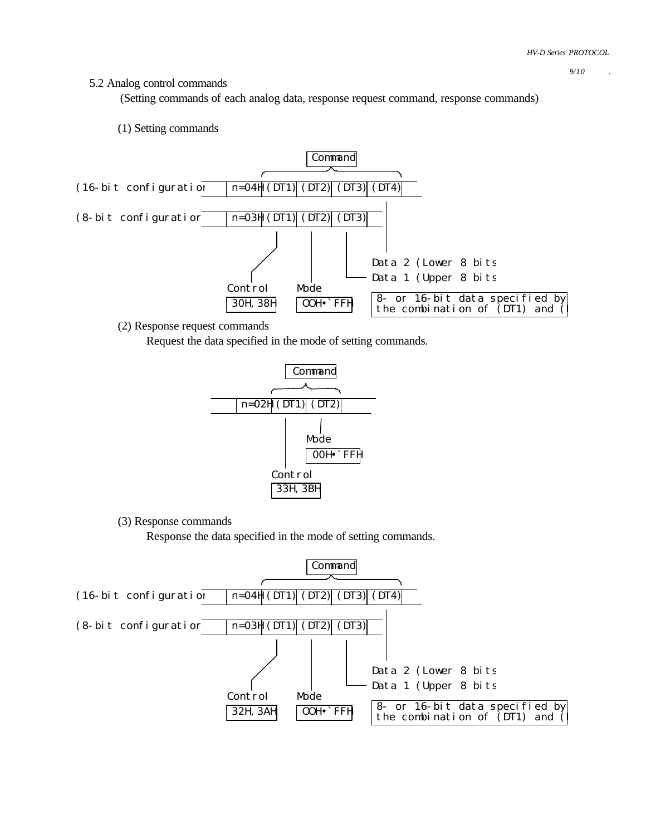#### 5.2 Analog control commands

(Setting commands of each analog data, response request command, response commands)

(1) Setting commands



(2) Response request commands

Request the data specified in the mode of setting commands.



(3) Response commands

Response the data specified in the mode of setting commands.

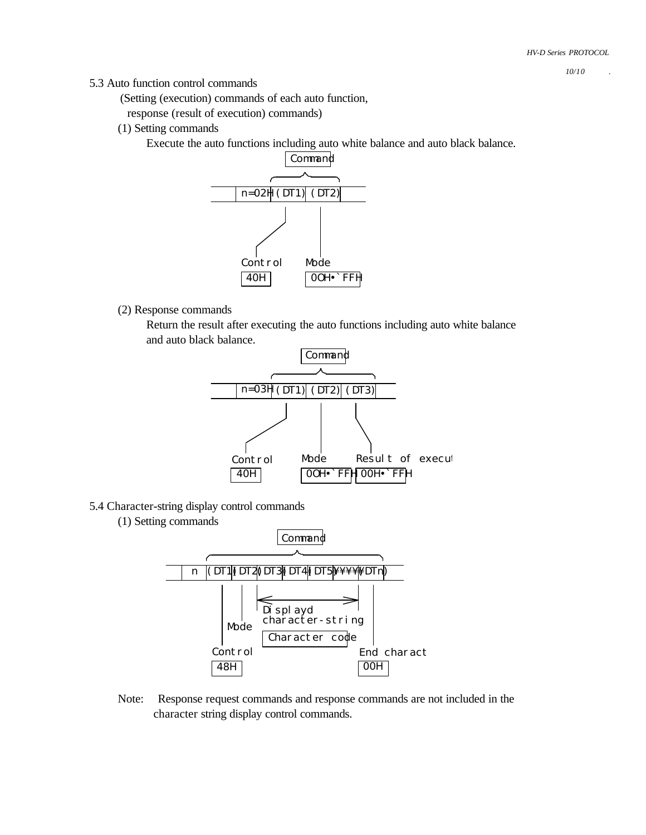5.3 Auto function control commands

(Setting (execution) commands of each auto function, response (result of execution) commands)

(1) Setting commands

Execute the auto functions including auto white balance and auto black balance.



(2) Response commands

 Return the result after executing the auto functions including auto white balance and auto black balance.



- 5.4 Character-string display control commands
	- (1) Setting commands



 Note: Response request commands and response commands are not included in the character string display control commands.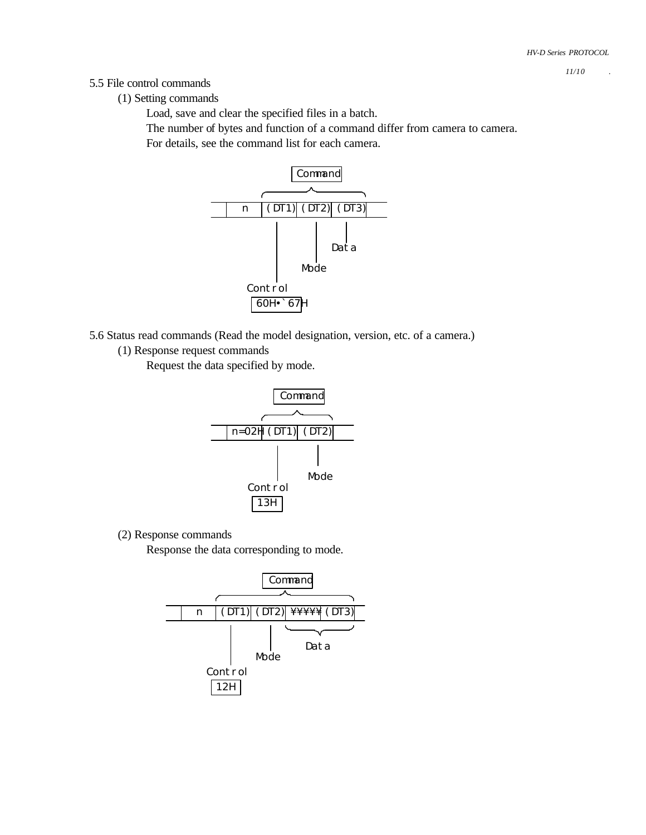#### 5.5 File control commands

(1) Setting commands

Load, save and clear the specified files in a batch.

The number of bytes and function of a command differ from camera to camera.

For details, see the command list for each camera.



- 5.6 Status read commands (Read the model designation, version, etc. of a camera.)
	- (1) Response request commands

Request the data specified by mode.



(2) Response commands

Response the data corresponding to mode.

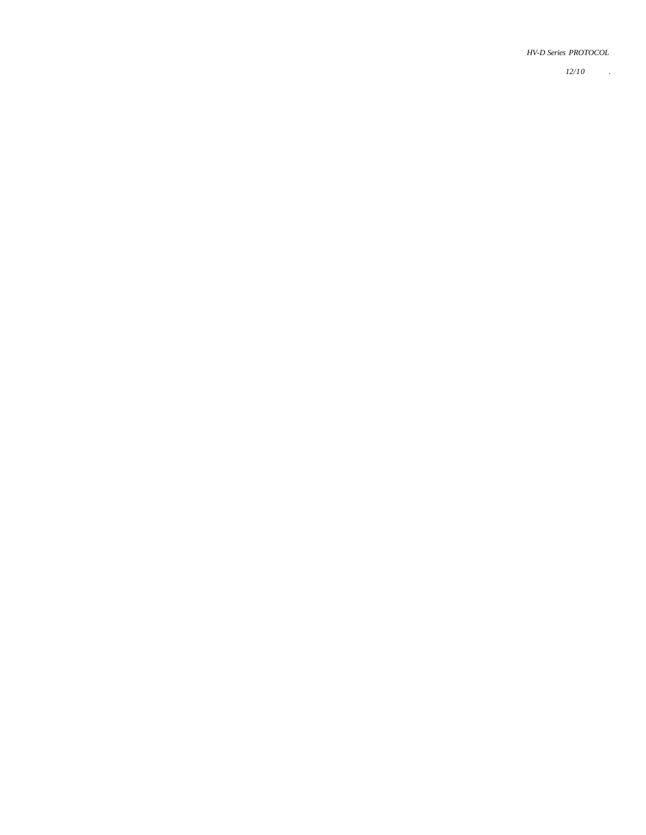#### *HV-D Series PROTOCOL*

*12/10 .*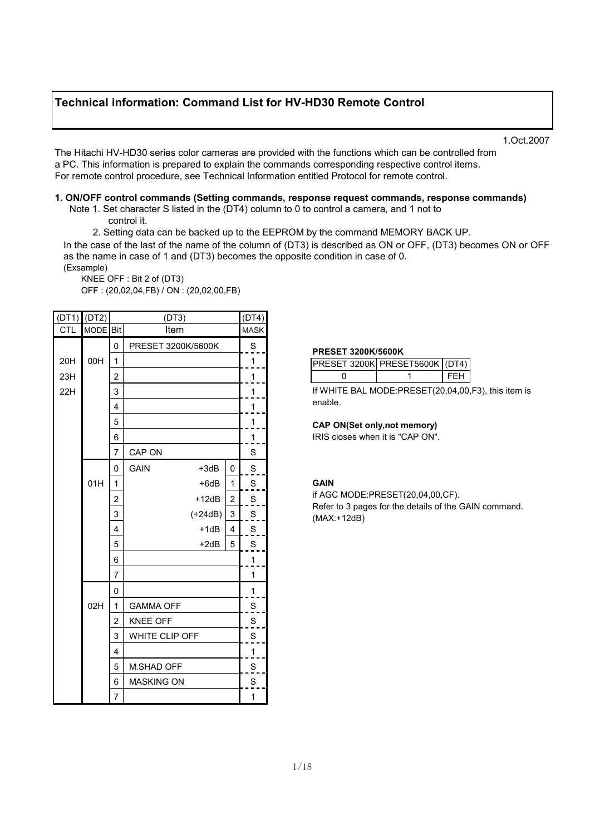# Technical information: Command List for HV-HD30 Remote Control

1.Oct.2007

The Hitachi HV-HD30 series color cameras are provided with the functions which can be controlled from a PC. This information is prepared to explain the commands corresponding respective control items. For remote control procedure, see Technical Information entitled Protocol for remote control.

## 1. ON/OFF control commands (Setting commands, response request commands, response commands)

 Note 1. Set character S listed in the (DT4) column to 0 to control a camera, and 1 not to control it.

2. Setting data can be backed up to the EEPROM by the command MEMORY BACK UP.

In the case of the last of the name of the column of (DT3) is described as ON or OFF, (DT3) becomes ON or OFF as the name in case of 1 and (DT3) becomes the opposite condition in case of 0. (Exsample)

 KNEE OFF : Bit 2 of (DT3) OFF : (20,02,04,FB) / ON : (20,02,00,FB)

| (DT1)      | (DT2)       |                | (DT3)                 |                | (DT4)                   |
|------------|-------------|----------------|-----------------------|----------------|-------------------------|
| <b>CTL</b> | <b>MODE</b> | <b>Bit</b>     | Item                  |                | <b>MASK</b>             |
|            |             | 0              | PRESET 3200K/5600K    |                | S                       |
| 20H        | 00H         | 1              |                       |                | $\mathbf{1}$            |
| 23H        |             | 2              |                       |                | $\mathbf{1}$            |
| 22H        |             | 3              |                       |                | 1                       |
|            |             | 4              |                       |                | $\mathbf 1$             |
|            |             | 5              |                       |                | $\overline{\mathbf{1}}$ |
|            |             | 6              |                       |                | 1                       |
|            |             | $\overline{7}$ | CAP ON                |                | S                       |
|            |             | 0              | <b>GAIN</b><br>$+3dB$ | 0              | $\mathbf S$             |
|            | 01H         | 1              | $+6dB$                | 1              | S                       |
|            |             | $\overline{c}$ | $+12dB$               | $\overline{c}$ | S                       |
|            |             | 3              | $(+24dB)$             | 3              | S                       |
|            |             | 4              | $+1dB$                | 4              | S                       |
|            |             | 5              | $+2dB$                | 5              | $S_{1}$                 |
|            |             | 6              |                       |                | 1                       |
|            |             | $\overline{7}$ |                       |                | 1                       |
|            |             | 0              |                       |                | 1                       |
|            | 02H         | 1              | <b>GAMMA OFF</b>      |                | S                       |
|            |             | $\overline{2}$ | <b>KNEE OFF</b>       |                | S                       |
|            |             | 3              | WHITE CLIP OFF        |                | S                       |
|            |             | 4              |                       |                | 1                       |
|            |             | 5              | <b>M.SHAD OFF</b>     |                | S                       |
|            |             | 6              | <b>MASKING ON</b>     |                | $\overline{\mathbf{S}}$ |
|            |             | $\overline{7}$ |                       |                | 1                       |

## PRESET 3200K/5600K

| <b>PRESET 3200K PRESET5600K (DT4)</b> |     |
|---------------------------------------|-----|
|                                       | FFH |

If WHITE BAL MODE:PRESET(20,04,00,F3), this item is enable.

#### CAP ON(Set only,not memory)

IRIS closes when it is "CAP ON".

## GAIN

if AGC MODE:PRESET(20,04,00,CF). Refer to 3 pages for the details of the GAIN command. (MAX:+12dB)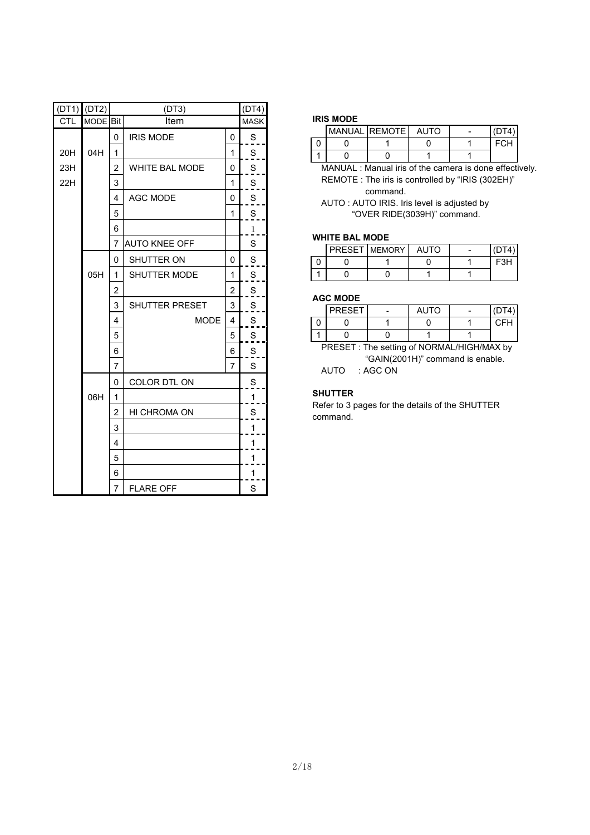| (DT1)      | (DT2)       |                | (DT3)                 |                | (DT4)                   |
|------------|-------------|----------------|-----------------------|----------------|-------------------------|
| <b>CTL</b> | <b>MODE</b> | Bit            | Item                  |                | <b>MASK</b>             |
|            |             | 0              | <b>IRIS MODE</b>      | 0              | S                       |
| 20H        | 04H         | 1              |                       | 1              | S                       |
| 23H        |             | 2              | <b>WHITE BAL MODE</b> | 0              | S                       |
| 22H        |             | 3              |                       | 1              | S                       |
|            |             | 4              | <b>AGC MODE</b>       | 0              | S                       |
|            |             | 5              |                       | 1              | S                       |
|            |             | 6              |                       |                | $\mathbf{1}$            |
|            |             | 7              | <b>AUTO KNEE OFF</b>  |                | S                       |
|            |             | 0              | SHUTTER ON            | 0              | $\mathbf S$             |
|            | 05H         | 1              | SHUTTER MODE          | 1              | S                       |
|            |             | 2              |                       | $\overline{2}$ | $S_{1}$                 |
|            |             | 3              | <b>SHUTTER PRESET</b> | 3              | $S_{\parallel}$         |
|            |             | 4              | <b>MODE</b>           | $\overline{4}$ | $\overline{S}$          |
|            |             | 5              |                       | 5              | $\overline{\mathbf{S}}$ |
|            |             | 6              |                       | 6              | S                       |
|            |             | $\overline{7}$ |                       | $\overline{7}$ | S                       |
|            |             | 0              | COLOR DTL ON          |                | S                       |
|            | 06H         | 1              |                       |                | 1                       |
|            |             | $\overline{2}$ | HI CHROMA ON          |                | S                       |
|            |             | 3              |                       |                | $\mathbf 1$             |
|            |             | 4              |                       |                | 1                       |
|            |             | 5              |                       |                | 1                       |
|            |             | 6              |                       |                | 1                       |
|            |             | $\overline{7}$ | <b>FLARE OFF</b>      |                | S                       |

#### IRIS MODE

|  | MANUAL REMOTE | AUTO |     |
|--|---------------|------|-----|
|  |               |      | FCH |
|  |               |      |     |

MANUAL : Manual iris of the camera is done effectively. REMOTE : The iris is controlled by "IRIS (302EH)" command.

AUTO : AUTO IRIS. Iris level is adjusted by "OVER RIDE(3039H)" command.

#### WHITE BAL MODE

|  | PRESET MEMORY | AUTO | - |     |
|--|---------------|------|---|-----|
|  |               |      |   | F3H |
|  |               |      |   |     |

#### AGC MODE

| <b>PRESET</b> | <b>AUTO</b> |     |
|---------------|-------------|-----|
|               |             | CFT |
|               |             |     |

PRESET : The setting of NORMAL/HIGH/MAX by "GAIN(2001H)" command is enable. AUTO : AGC ON

#### SHUTTER

Refer to 3 pages for the details of the SHUTTER command.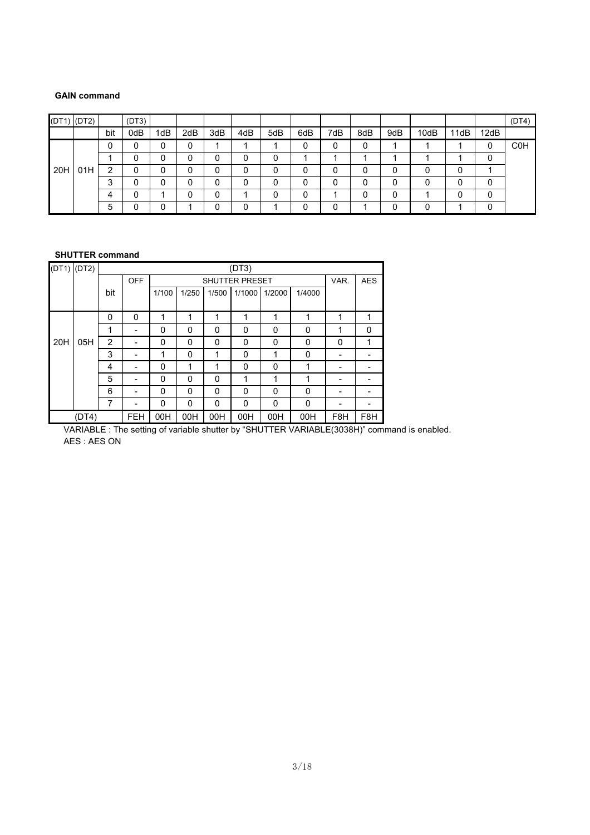## GAIN command

| (DT1) (DT2) |     |     | (DT3) |     |     |     |     |              |     |     |     |     |      |      |      | (DT4)      |
|-------------|-----|-----|-------|-----|-----|-----|-----|--------------|-----|-----|-----|-----|------|------|------|------------|
|             |     | bit | 0dB   | 1dB | 2dB | 3dB | 4dB | 5dB          | 6dB | 7dB | 8dB | 9dB | 10dB | 11dB | 12dB |            |
|             |     | 0   |       | 0   | 0   |     |     |              |     | 0   | 0   |     |      |      | 0    | <b>C0H</b> |
|             |     |     |       |     |     |     | 0   | 0            |     |     |     |     |      |      | 0    |            |
| 20H         | 01H | 2   |       |     | 0   |     | 0   | 0            |     | 0   | 0   |     | ∩    |      |      |            |
|             |     | ົ   |       | ი   | 0   |     | 0   | 0            |     | 0   | 0   |     |      |      | 0    |            |
|             |     | Δ   |       |     | 0   |     |     | <sup>n</sup> |     |     | u   | n   |      |      | n    |            |
|             |     | 5   |       |     |     |     | 0   |              |     | 0   |     | n   | ∩    |      | 0    |            |

## SHUTTER command

| (DT1) | (DT2) |     |            |          |       |       | (DT3)                 |        |          |                  |                  |
|-------|-------|-----|------------|----------|-------|-------|-----------------------|--------|----------|------------------|------------------|
|       |       |     | <b>OFF</b> |          |       |       | <b>SHUTTER PRESET</b> |        |          | VAR.             | <b>AES</b>       |
|       |       | bit |            | 1/100    | 1/250 | 1/500 | 1/1000                | 1/2000 | 1/4000   |                  |                  |
|       |       |     |            |          |       |       |                       |        |          |                  |                  |
|       |       | 0   | 0          | 1        | 1     | 1     | 1                     | 1      | 1        | 1                | 1                |
|       |       | 1   |            | 0        | 0     | 0     | 0                     | 0      | 0        | 1                | 0                |
| 20H   | 05H   | 2   |            | 0        | 0     | 0     | 0                     | 0      | 0        | 0                | 1                |
|       |       | 3   |            | 1        | 0     | 1     | 0                     | 1      | $\Omega$ |                  |                  |
|       |       | 4   |            | $\Omega$ | 1     | 1     | 0                     | 0      | 1        |                  |                  |
|       |       | 5   |            | 0        | 0     | 0     | 1                     | 1      | 1        |                  |                  |
|       |       | 6   |            | 0        | 0     | 0     | 0                     | 0      | 0        |                  |                  |
|       |       | 7   |            | 0        | 0     | 0     | 0                     | 0      | 0        |                  |                  |
|       | (DT4) |     | <b>FEH</b> | 00H      | 00H   | 00H   | 00H                   | 00H    | 00H      | F <sub>8</sub> H | F <sub>8</sub> H |

VARIABLE : The setting of variable shutter by "SHUTTER VARIABLE(3038H)" command is enabled. AES : AES ON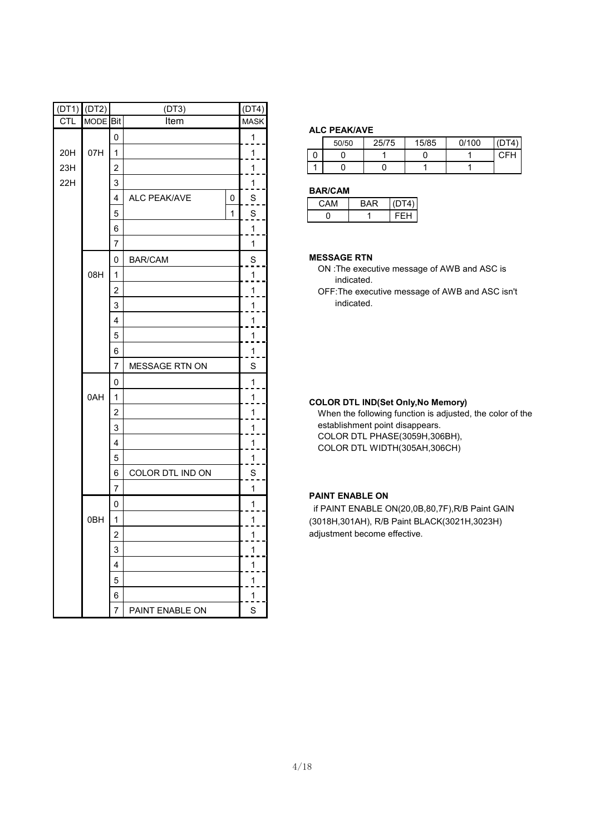| (DT1)                   | (DT2)               |                | (DT3)               |   | (DT4)                   |
|-------------------------|---------------------|----------------|---------------------|---|-------------------------|
| $\overline{\text{CTL}}$ | MODE <sup>Bit</sup> |                | Item                |   | <b>MASK</b>             |
|                         |                     | 0              |                     |   | $\overline{1}$          |
| 20H                     | 07H                 | 1              |                     |   | $\frac{1}{2}$           |
| 23H                     |                     | $\overline{2}$ |                     |   | 1                       |
| 22H                     |                     | 3              |                     |   | 1                       |
|                         |                     | 4              | <b>ALC PEAK/AVE</b> | 0 | $\overline{S}$          |
|                         |                     | 5              |                     | 1 | $\overline{\mathsf{S}}$ |
|                         |                     | 6              |                     |   | 1                       |
|                         |                     | 7              |                     |   | $\mathbf{1}$            |
|                         |                     | 0              | <b>BAR/CAM</b>      |   | $\overline{S}$          |
|                         | 08H                 | 1              |                     |   | 1                       |
|                         |                     | 2              |                     |   | 1                       |
|                         |                     | 3              |                     |   | $\overline{1}$          |
|                         |                     | 4              |                     |   | $\mathbf{1}$            |
|                         |                     | 5              |                     |   | 1                       |
|                         |                     | 6              |                     |   | 1                       |
|                         |                     | 7              | MESSAGE RTN ON      |   | S                       |
|                         |                     | 0              |                     |   | $\mathbf{1}$            |
|                         | 0AH                 | 1              |                     |   | $\overline{1}$          |
|                         |                     | 2              |                     |   | $\overline{1}$          |
|                         |                     | 3              |                     |   | 1                       |
|                         |                     | 4              |                     |   | $\overline{1}$          |
|                         |                     | 5              |                     |   | 1                       |
|                         |                     | 6              | COLOR DTL IND ON    |   | $\overline{S}$          |
|                         |                     | 7              |                     |   | 1                       |
|                         |                     | 0              |                     |   | $\mathbf{1}$            |
|                         | 0BH                 | 1              |                     |   | $\overline{1}$          |
|                         |                     | $\overline{2}$ |                     |   | 1                       |
|                         |                     | 3              |                     |   | 1                       |
|                         |                     | 4              |                     |   | $\overline{1}$          |
|                         |                     | 5              |                     |   | $\frac{1}{2}$           |
|                         |                     | 6              |                     |   | 1                       |
|                         |                     | $\overline{7}$ | PAINT ENABLE ON     |   | S                       |

#### ALC PEAK/AVE

| 50/50 | 25/75 | 15/85 | 0/100 | (DT4)      |
|-------|-------|-------|-------|------------|
|       |       |       |       | <b>CFH</b> |
|       |       |       |       |            |

#### BAR/CAM

| CAM. | RAR | (DT4) |
|------|-----|-------|
|      |     |       |

#### MESSAGE RTN

- ON :The executive message of AWB and ASC is indicated.
- OFF:The executive message of AWB and ASC isn't indicated.

#### COLOR DTL IND(Set Only,No Memory)

When the following function is adjusted, the color of the establishment point disappears. COLOR DTL PHASE(3059H,306BH), COLOR DTL WIDTH(305AH,306CH)

## PAINT ENABLE ON

 if PAINT ENABLE ON(20,0B,80,7F),R/B Paint GAIN (3018H,301AH), R/B Paint BLACK(3021H,3023H) adjustment become effective.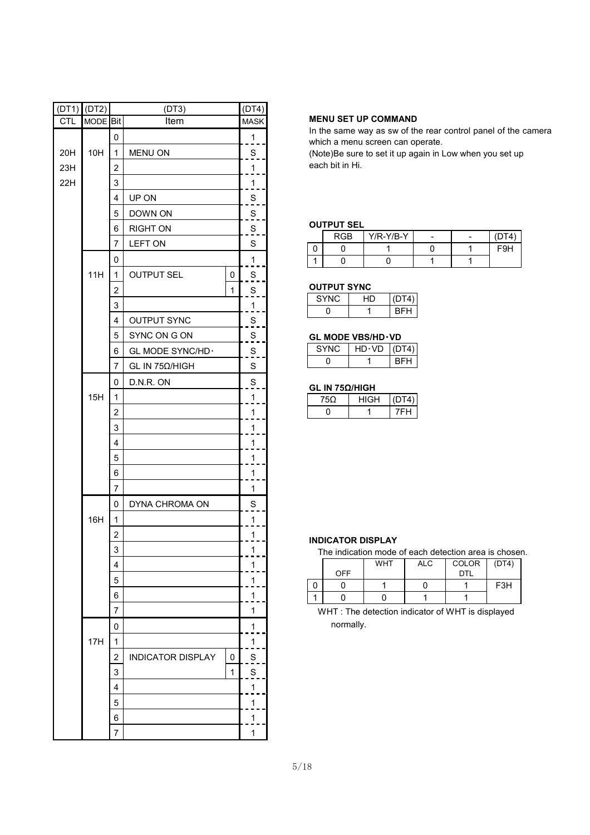|            | $(DT1)$ $(DT2)$     |                         | (DT3)                    |   | (DT4)              |
|------------|---------------------|-------------------------|--------------------------|---|--------------------|
| <b>CTL</b> | MODE <sup>Bit</sup> |                         | <b>Item</b>              |   | <b>MASK</b>        |
|            |                     | 0                       |                          |   | 1                  |
| 20H        | 10H                 | 1                       | <b>MENU ON</b>           |   | $\mathbf{s}$       |
| 23H        |                     | $\overline{c}$          |                          |   | 1                  |
| 22H        |                     | 3                       |                          |   | 1                  |
|            |                     | 4                       | UP ON                    |   | $\frac{S}{I}$      |
|            |                     | 5                       | DOWN ON                  |   | $\frac{S}{I}$      |
|            |                     | 6                       | <b>RIGHT ON</b>          |   | $S_{\overline{a}}$ |
|            |                     | $\overline{7}$          | <b>LEFT ON</b>           |   | S                  |
|            |                     | 0                       |                          |   | $\mathbf{1}$       |
|            | 11H                 | 1                       | <b>OUTPUT SEL</b>        | 0 | $S_{\mathsf{L}}$   |
|            |                     | $\overline{\mathbf{c}}$ |                          | 1 | $\frac{S}{\cdot}$  |
|            |                     | 3                       |                          |   | 1                  |
|            |                     | 4                       | <b>OUTPUT SYNC</b>       |   | S                  |
|            |                     | 5                       | SYNC ON G ON             |   | $S_{1}$            |
|            |                     | 6                       | GL MODE SYNC/HD·         |   | $\frac{S}{I}$      |
|            |                     | $\overline{7}$          | GL IN 75Ω/HIGH           |   | $\mathbf S$        |
|            |                     | 0                       | D.N.R. ON                |   | $\frac{S}{I}$      |
|            | 15H                 | 1                       |                          |   | 1                  |
|            |                     | $\overline{c}$          |                          |   | 1                  |
|            |                     | 3                       |                          |   | 1                  |
|            |                     | 4                       |                          |   | 1                  |
|            |                     | 5                       |                          |   | 1                  |
|            |                     | 6                       |                          |   | 1                  |
|            |                     | $\overline{7}$          |                          |   | 1                  |
|            |                     | 0                       | DYNA CHROMA ON           |   | $\frac{S}{I}$      |
|            | 16H                 | 1                       |                          |   | 1                  |
|            |                     | 2                       |                          |   | 1                  |
|            |                     | 3                       |                          |   | 1                  |
|            |                     | 4                       |                          |   |                    |
|            |                     | 5                       |                          |   | 1                  |
|            |                     | 6                       |                          |   | 1                  |
|            |                     | $\overline{7}$          |                          |   | 1                  |
|            |                     | 0                       |                          |   | 1                  |
|            | 17H                 | 1                       |                          |   | 1                  |
|            |                     | 2                       | <b>INDICATOR DISPLAY</b> | 0 | S                  |
|            |                     | 3                       |                          | 1 | S                  |
|            |                     | 4                       |                          |   | 1                  |
|            |                     | 5                       |                          |   | 1                  |
|            |                     | 6                       |                          |   | 1                  |
|            |                     | $\overline{7}$          |                          |   | 1                  |

#### MENU SET UP COMMAND

In the same way as sw of the rear control panel of the camera which a menu screen can operate.

(Note)Be sure to set it up again in Low when you set up each bit in Hi.

## OUTPUT SEL

| <b>RGB</b> | $Y/R-Y/B-Y$ | $\overline{\phantom{a}}$ | - | $\lnot$ $\lnot$ $\lnot$ $\lnot$ |
|------------|-------------|--------------------------|---|---------------------------------|
|            |             |                          |   | -91                             |
|            |             |                          |   |                                 |

## OUTPUT SYNC

| 'DT4) |
|-------|
| 3⊦H   |
|       |

## GL MODE VBS/HD·VD

| SYN | HD•VD | (DTA) |
|-----|-------|-------|
|     |       |       |

## GL IN 75Ω/HIGH

| '÷H∶ | 4 |
|------|---|
|      |   |

#### INDICATOR DISPLAY

| INDIVATUR DIƏFLAT                                     |     |            |      |              |       |  |  |  |
|-------------------------------------------------------|-----|------------|------|--------------|-------|--|--|--|
| The indication mode of each detection area is chosen. |     |            |      |              |       |  |  |  |
|                                                       |     | <b>WHT</b> | AI C | <b>COLOR</b> | (DT4) |  |  |  |
|                                                       | OFF |            |      |              |       |  |  |  |
|                                                       |     |            |      |              | F3H   |  |  |  |
|                                                       |     |            |      |              |       |  |  |  |

 WHT : The detection indicator of WHT is displayed normally.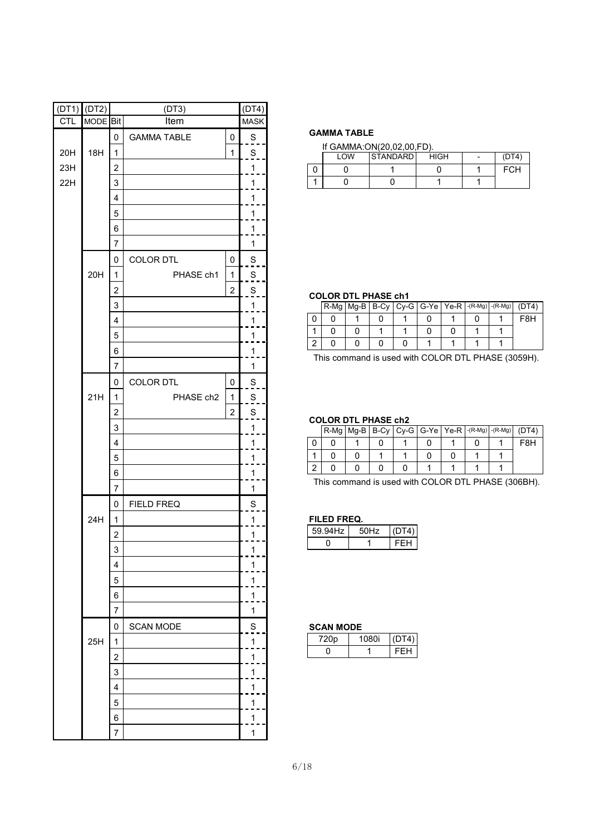| (DT1)      | (DT2)               |                         | (DT3)              |                | (DT4)                   |
|------------|---------------------|-------------------------|--------------------|----------------|-------------------------|
| <b>CTL</b> | MODE <sup>Bit</sup> | Item                    |                    | <b>MASK</b>    |                         |
|            |                     | 0                       | <b>GAMMA TABLE</b> | 0              | $\frac{S}{I}$           |
| 20H        | 18H                 | 1                       |                    | 1              | $\frac{S}{\epsilon}$    |
| 23H        |                     | $\overline{c}$          |                    |                | 1                       |
| 22H        |                     | 3                       |                    |                | 1                       |
|            |                     | $\overline{\mathbf{4}}$ |                    |                | $\mathbf{1}$            |
|            |                     | 5                       |                    |                | 1                       |
|            |                     | 6                       |                    |                | $\mathbf{1}$            |
|            |                     | $\overline{7}$          |                    |                | 1                       |
|            |                     | 0                       | COLOR DTL          | 0              | $\frac{S}{I}$           |
|            | 20H                 | 1                       | PHASE ch1          | 1              | $S_{\perp}$             |
|            |                     | $\overline{\mathbf{c}}$ |                    | $\overline{c}$ | $\overline{\mathbf{S}}$ |
|            |                     | 3                       |                    |                | $\mathbf{1}$            |
|            |                     | 4                       |                    |                | 1                       |
|            |                     | 5                       |                    |                | 1                       |
|            |                     | 6                       |                    |                | $\mathbf 1$             |
|            |                     | $\overline{7}$          |                    |                | $\mathbf{1}$            |
|            |                     | 0                       | COLOR DTL          | 0              | S                       |
|            | 21H                 | 1                       | PHASE ch2          | 1              | $\frac{S}{I}$           |
|            |                     | $\overline{c}$          |                    | 2              | $\mathbf{s}$            |
|            |                     | 3                       |                    |                | 1                       |
|            |                     | 4                       |                    |                | $\mathbf{1}$            |
|            |                     | 5                       |                    |                | $\mathbf 1$             |
|            |                     | 6                       |                    |                | $\mathbf 1$             |
|            |                     | $\overline{7}$          |                    |                | 1                       |
|            |                     | 0                       | <b>FIELD FREQ</b>  |                | $\overline{S}$          |
|            | 24H                 | 1                       |                    |                | $\mathbf{1}$            |
|            |                     | $\overline{\mathbf{c}}$ |                    |                | 1                       |
|            |                     | 3                       |                    |                | 1                       |
|            |                     | 4                       |                    |                | 1                       |
|            |                     | 5                       |                    |                | 1                       |
|            |                     | 6                       |                    |                | 1                       |
|            |                     | $\overline{7}$          |                    |                | 1                       |
|            |                     | 0                       | <b>SCAN MODE</b>   |                | S                       |
|            | 25H                 | 1                       |                    |                | 1                       |
|            |                     | $\overline{\mathbf{c}}$ |                    |                | 1                       |
|            |                     | 3                       |                    |                | 1                       |
|            |                     | 4                       |                    |                | 1                       |
|            |                     | 5                       |                    |                | 1                       |
|            |                     | 6                       |                    |                | 1                       |
|            |                     | 7                       |                    |                | 1                       |

#### GAMMA TABLE

| If GAMMA:ON(20,02,00,FD). |                 |             |       |
|---------------------------|-----------------|-------------|-------|
| <b>I OW</b>               | <b>STANDARD</b> | <b>HIGH</b> | (DT4) |
|                           |                 |             | FCH   |
|                           |                 |             |       |

#### COLOR DTL PHASE ch1

|  |  |  |  | R-Mg   Mg-B   B-Cy   Cy-G   G-Ye   Ye-R   -(R-Mg)   -(R-Mg) | (DT4) |
|--|--|--|--|-------------------------------------------------------------|-------|
|  |  |  |  |                                                             | F8H   |
|  |  |  |  |                                                             |       |
|  |  |  |  |                                                             |       |

This command is used with COLOR DTL PHASE (3059H).

## COLOR DTL PHASE ch2

|  |  | $R-Mg$ $Mg-B$ $B-Cy$ $Cy-G$ $G-Ye$ $Ye-R$ $\cdot$ $(R-Mg)$ $(R-Mg)$ |  | (DT4) |
|--|--|---------------------------------------------------------------------|--|-------|
|  |  |                                                                     |  | F8H   |
|  |  |                                                                     |  |       |
|  |  |                                                                     |  |       |

This command is used with COLOR DTL PHASE (306BH).

## FILED FREQ.

| 59.94Hz | 50Hz | (DTA) |
|---------|------|-------|
|         |      |       |

#### SCAN MODE

| 720n | 1080i | (DT4) |
|------|-------|-------|
|      |       |       |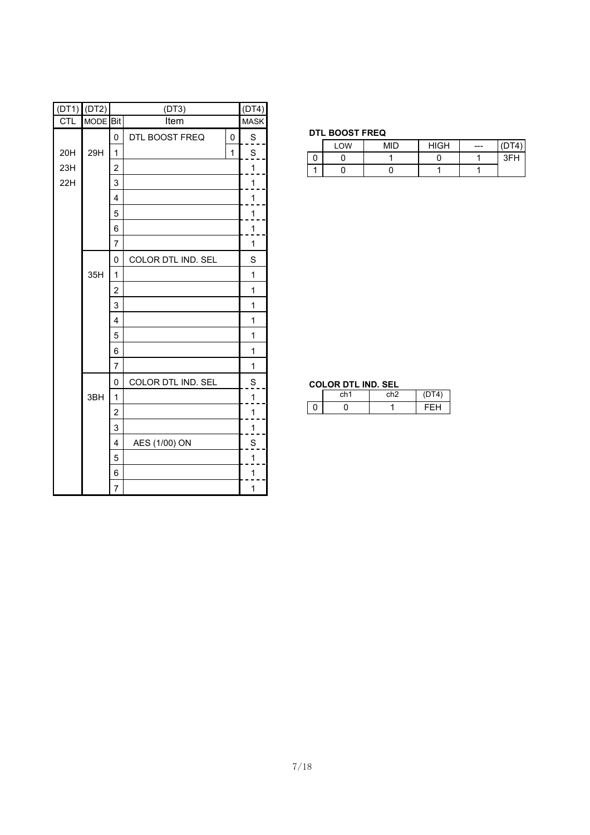|            | (DT1) (DT2) |                | (DT3)              |   | (DT4)       |
|------------|-------------|----------------|--------------------|---|-------------|
| <b>CTL</b> | <b>MODE</b> | <b>Bit</b>     | Item               |   | <b>MASK</b> |
|            |             | 0              | DTL BOOST FREQ     | 0 | $S_{\perp}$ |
| 20H        | 29H         | 1              |                    | 1 | S           |
| 23H        |             | $\overline{2}$ |                    |   | 1           |
| 22H        |             | 3              |                    |   | 1           |
|            |             | 4              |                    |   | 1           |
|            |             | 5              |                    |   | 1           |
|            |             | 6              |                    |   | 1           |
|            |             | $\overline{7}$ |                    |   | 1           |
|            |             | 0              | COLOR DTL IND. SEL |   | S           |
|            | 35H         | 1              |                    |   | 1           |
|            |             | $\overline{c}$ |                    |   | 1           |
|            |             | 3              |                    |   | 1           |
|            |             | 4              |                    |   | 1           |
|            |             | 5              |                    |   | 1           |
|            |             | 6              |                    |   | 1           |
|            |             | $\overline{7}$ |                    |   | $\mathbf 1$ |
|            |             | 0              | COLOR DTL IND. SEL |   | S           |
|            | 3BH         | 1              |                    |   | 1           |
|            |             | 2              |                    |   | 1           |
|            |             | 3              |                    |   | 1           |
|            |             | 4              | AES (1/00) ON      |   | S           |
|            |             | 5              |                    |   | 1           |
|            |             | 6              |                    |   | 1           |
|            |             | $\overline{7}$ |                    |   | 1           |

## DTL BOOST FREQ

| LOW | <b>MID</b> | <b>HIGH</b> | $---$ | $T = T$ |
|-----|------------|-------------|-------|---------|
|     |            |             |       | 3FH     |
|     |            |             |       |         |

#### COLOR DTL IND. SEL

|  | nh <sup>4</sup> |  |
|--|-----------------|--|
|  |                 |  |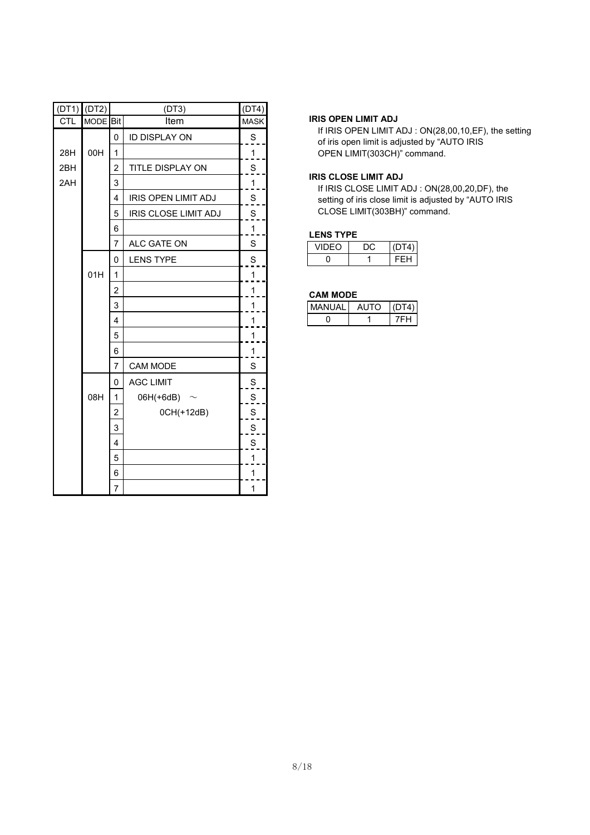|            | $(DT1)$ $(DT2)$     |                | (DT3)                   | (DT4)                   |
|------------|---------------------|----------------|-------------------------|-------------------------|
| <b>CTL</b> | MODE <sup>Bit</sup> |                | Item                    | <b>MASK</b>             |
|            |                     | 0              | <b>ID DISPLAY ON</b>    | S                       |
| 28H        | 00H                 | 1              |                         | 1                       |
| 2BH        |                     | $\overline{2}$ | <b>TITLE DISPLAY ON</b> | S                       |
| 2AH        |                     | 3              |                         | 1                       |
|            |                     | 4              | IRIS OPEN LIMIT ADJ     | S                       |
|            |                     | 5              | IRIS CLOSE LIMIT ADJ    | S                       |
|            |                     | 6              |                         | 1                       |
|            |                     | $\overline{7}$ | ALC GATE ON             | S                       |
|            |                     | 0              | <b>LENS TYPE</b>        | S                       |
|            | 01H                 | 1              |                         | 1                       |
|            |                     | $\overline{2}$ |                         | 1                       |
|            |                     | 3              |                         | 1                       |
|            |                     | 4              |                         | 1                       |
|            |                     | 5              |                         | 1                       |
|            |                     | 6              |                         | 1                       |
|            |                     | $\overline{7}$ | CAM MODE                | $\mathbf S$             |
|            |                     | 0              | <b>AGC LIMIT</b>        | S                       |
|            | 08H                 | 1              | 06H(+6dB)               | $\overline{\mathbf{S}}$ |
|            |                     | $\overline{c}$ | 0CH(+12dB)              | $\overline{\mathbf{S}}$ |
|            |                     | 3              |                         | $\overline{S}$          |
|            |                     | 4              |                         | S                       |
|            |                     | 5              |                         | 1                       |
|            |                     | 6              |                         | 1                       |
|            |                     | 7              |                         | 1                       |

#### IRIS OPEN LIMIT ADJ

If IRIS OPEN LIMIT ADJ : ON(28,00,10,EF), the setting of iris open limit is adjusted by "AUTO IRIS OPEN LIMIT(303CH)" command.

## IRIS CLOSE LIMIT ADJ

If IRIS CLOSE LIMIT ADJ : ON(28,00,20,DF), the setting of iris close limit is adjusted by "AUTO IRIS CLOSE LIMIT(303BH)" command.

## LENS TYPE

| VIDEO | 'DT4). |
|-------|--------|
|       |        |

#### CAM MODE

| MANUAL | AUTO | (DT4) |
|--------|------|-------|
|        |      |       |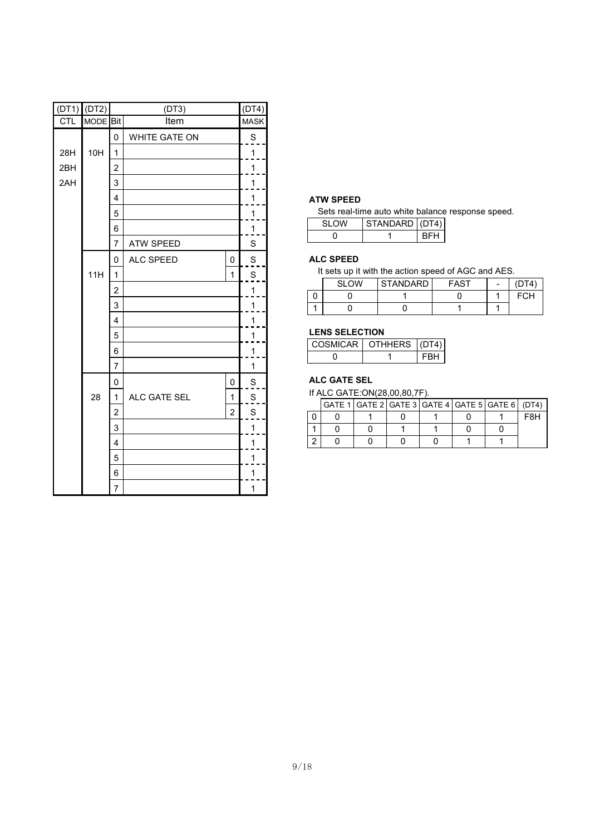| (DT1)                   | (DT2)               |                         | (DT3)            |                | (DT4)                   |
|-------------------------|---------------------|-------------------------|------------------|----------------|-------------------------|
| $\overline{\text{CTL}}$ | MODE <sup>Bit</sup> |                         | Item             |                | <b>MASK</b>             |
|                         |                     | 0                       | WHITE GATE ON    |                | S                       |
| 28H                     | 10H                 | $\mathbf{1}$            |                  |                | 1                       |
| 2BH                     |                     | $\overline{c}$          |                  |                | $\mathbf 1$             |
| 2AH                     |                     | 3                       |                  |                | 1                       |
|                         |                     | $\overline{\mathbf{4}}$ |                  |                | 1                       |
|                         |                     | 5                       |                  |                | $\mathbf{1}$            |
|                         |                     | 6                       |                  |                | $\mathbf 1$             |
|                         |                     | $\overline{7}$          | <b>ATW SPEED</b> |                | S                       |
|                         |                     | 0                       | ALC SPEED        | 0              | $S_{1}$                 |
|                         | 11H                 | 1                       |                  | 1              | $\overline{S}$          |
|                         |                     | $\overline{2}$          |                  |                | 1                       |
|                         |                     | 3                       |                  |                | $\mathbf{1}$            |
|                         |                     | $\overline{4}$          |                  |                | 1                       |
|                         |                     | 5                       |                  |                | 1                       |
|                         |                     | 6                       |                  |                | $\mathbf{1}$            |
|                         |                     | $\overline{7}$          |                  |                | $\mathbf 1$             |
|                         |                     | 0                       |                  | 0              | S                       |
|                         | 28                  | 1                       | ALC GATE SEL     | 1              | $\overline{\mathbf{S}}$ |
|                         |                     | $\overline{2}$          |                  | $\overline{2}$ | S                       |
|                         |                     | 3                       |                  |                | 1                       |
|                         |                     | $\overline{4}$          |                  |                | $\mathbf 1$             |
|                         |                     | 5                       |                  |                | $\mathbf{1}$            |
|                         |                     | 6                       |                  |                | 1                       |
|                         |                     | 7                       |                  |                | 1                       |

#### ATW SPEED

Sets real-time auto white balance response speed.

| STANDARD (DT4) |  |
|----------------|--|
|                |  |

## ALC SPEED

It sets up it with the action speed of AGC and AES.

| SI OW | STANDARD | FAST | $\overline{\phantom{a}}$ |     |
|-------|----------|------|--------------------------|-----|
|       |          |      |                          | FCH |
|       |          |      |                          |     |

## LENS SELECTION

| COSMICAR   OTHHERS   (DT4) |  |
|----------------------------|--|
|                            |  |

## ALC GATE SEL

If ALC GATE:ON(28,00,80,7F).

|  | $GATE 1   GATE 2   GATE 3   GATE 4   GATE 5   GATE 6   (DT4)$ |  |     |
|--|---------------------------------------------------------------|--|-----|
|  |                                                               |  | F8H |
|  |                                                               |  |     |
|  |                                                               |  |     |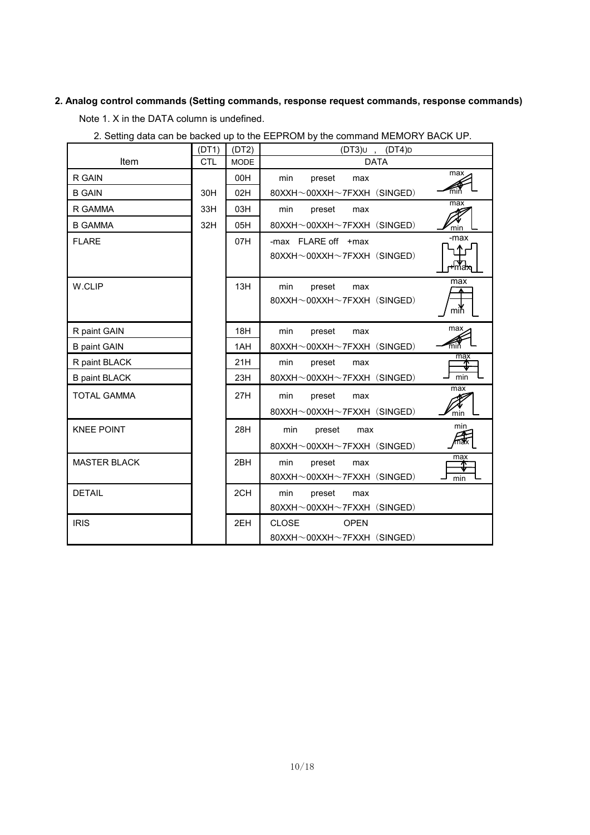# 2. Analog control commands (Setting commands, response request commands, response commands)

Note 1. X in the DATA column is undefined.

|  |  |  | 2. Setting data can be backed up to the EEPROM by the command MEMORY BACK UP. |  |
|--|--|--|-------------------------------------------------------------------------------|--|
|  |  |  |                                                                               |  |

|                      | (DT1)      | (DT2)       | (DT3)u, (DT4) <sub>D</sub>                                    |              |
|----------------------|------------|-------------|---------------------------------------------------------------|--------------|
| Item                 | <b>CTL</b> | <b>MODE</b> | <b>DATA</b>                                                   |              |
| R GAIN               |            | 00H         | min<br>preset<br>max                                          | max          |
| <b>B GAIN</b>        | 30H        | 02H         | 80XXH~00XXH~7FXXH (SINGED)                                    |              |
| R GAMMA              | 33H        | 03H         | min<br>preset<br>max                                          | max          |
| <b>B GAMMA</b>       | 32H        | 05H         | 80XXH~00XXH~7FXXH (SINGED)                                    | min          |
| <b>FLARE</b>         |            | 07H         | -max FLARE off +max<br>$80XXH \sim 00XXH \sim 7FXXH$ (SINGED) | -max<br>-max |
| W.CLIP               |            | 13H         | min<br>preset<br>max<br>80XXH~00XXH~7FXXH (SINGED)            | max<br>min   |
| R paint GAIN         |            | 18H         | min<br>preset<br>max                                          | max          |
| <b>B</b> paint GAIN  |            | 1AH         | 80XXH~00XXH~7FXXH (SINGED)                                    | min          |
| R paint BLACK        |            | 21H         | min<br>preset<br>max                                          | max          |
| <b>B</b> paint BLACK |            | 23H         | 80XXH~00XXH~7FXXH (SINGED)                                    | min          |
| <b>TOTAL GAMMA</b>   |            | 27H         | min<br>preset<br>max<br>80XXH~00XXH~7FXXH (SINGED)            | max<br>min   |
| <b>KNEE POINT</b>    |            | 28H         | min<br>preset<br>max<br>80XXH~00XXH~7FXXH (SINGED)            | min<br>max   |
| <b>MASTER BLACK</b>  |            | 2BH         | min<br>preset<br>max<br>80XXH~00XXH~7FXXH (SINGED)            | max<br>min   |
| <b>DETAIL</b>        |            | 2CH         | min<br>preset<br>max<br>80XXH~00XXH~7FXXH (SINGED)            |              |
| <b>IRIS</b>          |            | 2EH         | <b>CLOSE</b><br><b>OPEN</b><br>80XXH~00XXH~7FXXH (SINGED)     |              |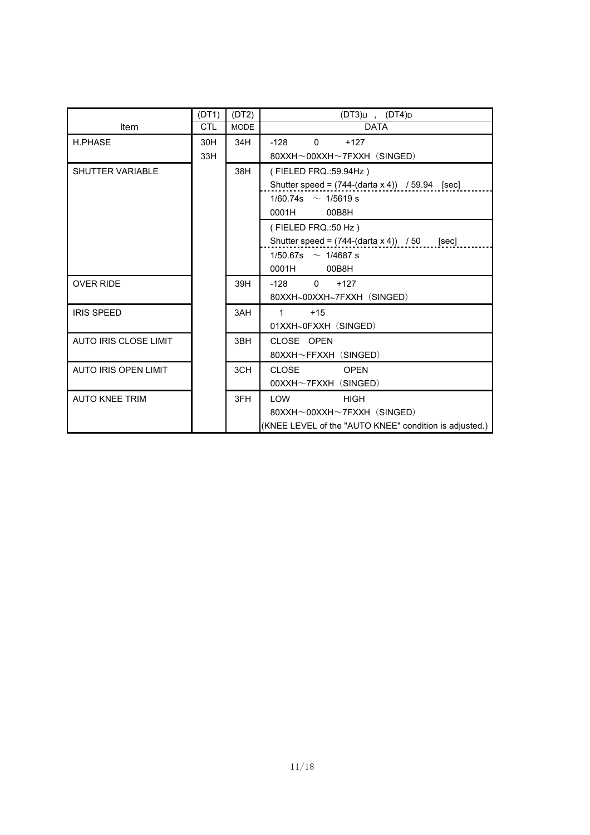|                              | (DT1)      | (DT2)       | $(DT3)U$ , $(DT4)D$                                    |
|------------------------------|------------|-------------|--------------------------------------------------------|
| Item                         | <b>CTL</b> | <b>MODE</b> | <b>DATA</b>                                            |
| H.PHASE                      | 30H        | 34H         | -128<br>$\mathbf{0}$<br>$+127$                         |
|                              | 33H        |             | $80XXH \sim 00XXH \sim 7FXXH$ (SINGED)                 |
| <b>SHUTTER VARIABLE</b>      |            | 38H         | (FIELED FRQ.:59.94Hz)                                  |
|                              |            |             | Shutter speed = $(744-(data \times 4))$ / 59.94 [sec]  |
|                              |            |             | $1/60.74s \sim 1/5619 s$                               |
|                              |            |             | 0001H<br>00B8H                                         |
|                              |            |             | (FIELED FRQ.:50 Hz)                                    |
|                              |            |             | Shutter speed = $(744-(data \times 4))$ / 50 [sec]     |
|                              |            |             | 1/50.67s $\sim$ 1/4687 s                               |
|                              |            |             | 0001H<br>00B8H                                         |
| <b>OVER RIDE</b>             |            | 39H         | $-128$ 0 $+127$                                        |
|                              |            |             | 80XXH~00XXH~7FXXH (SINGED)                             |
| <b>IRIS SPEED</b>            |            | 3AH         | $+15$<br>$\mathbf{1}$                                  |
|                              |            |             | 01XXH~0FXXH (SINGED)                                   |
| <b>AUTO IRIS CLOSE LIMIT</b> |            | 3BH         | CLOSE OPEN                                             |
|                              |            |             | 80XXH~FFXXH (SINGED)                                   |
| <b>AUTO IRIS OPEN LIMIT</b>  |            | 3CH         | <b>CLOSE</b><br><b>Example 12 OPEN</b>                 |
|                              |            |             | $00XXH \sim 7FXXH$ (SINGED)                            |
| <b>AUTO KNEE TRIM</b>        |            | 3FH         | LOW <sub>1</sub><br><b>HIGH</b>                        |
|                              |            |             | 80XXH~00XXH~7FXXH (SINGED)                             |
|                              |            |             | (KNEE LEVEL of the "AUTO KNEE" condition is adjusted.) |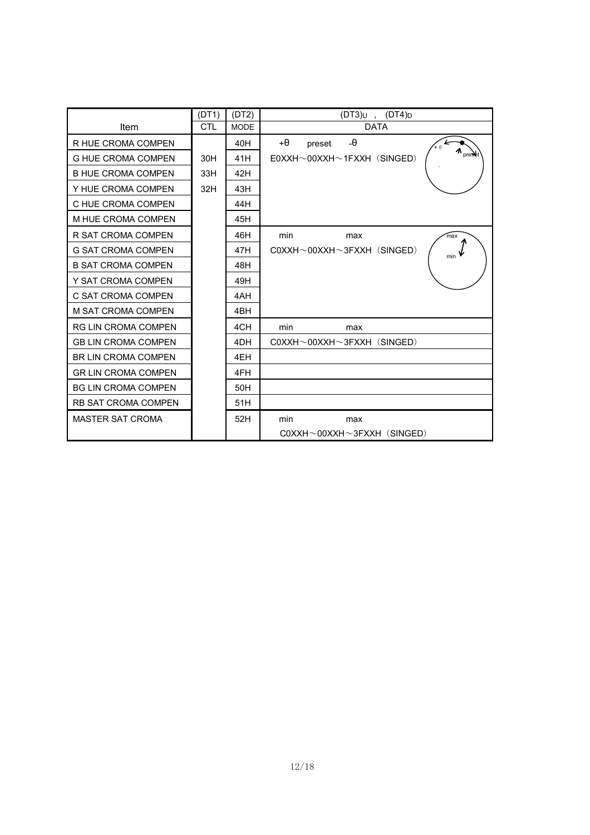|                            | (DT1)      | (DT2)           | $(DT3)U$ , $(DT4)D$                               |
|----------------------------|------------|-----------------|---------------------------------------------------|
| <b>Item</b>                | <b>CTL</b> | <b>MODE</b>     | <b>DATA</b>                                       |
| R HUE CROMA COMPEN         |            | 40H             | $-\theta$<br>+θ<br>preset                         |
| <b>G HUE CROMA COMPEN</b>  | 30H        | 41H             | preset<br>$E0XXH \sim 00XXH \sim 1$ FXXH (SINGED) |
| <b>B HUE CROMA COMPEN</b>  | 33H        | 42H             |                                                   |
| Y HUE CROMA COMPEN         | 32H        | 43H             |                                                   |
| C HUE CROMA COMPEN         |            | 44H             |                                                   |
| M HUE CROMA COMPEN         |            | 45H             |                                                   |
| R SAT CROMA COMPEN         |            | 46H             | min<br>max<br>max                                 |
| <b>G SAT CROMA COMPEN</b>  |            | 47H             | $COXXH \sim 00XXH \sim 3$ FXXH (SINGED)<br>min    |
| <b>B SAT CROMA COMPEN</b>  |            | 48H             |                                                   |
| Y SAT CROMA COMPEN         |            | 49H             |                                                   |
| C SAT CROMA COMPEN         |            | 4AH             |                                                   |
| <b>M SAT CROMA COMPEN</b>  |            | 4BH             |                                                   |
| <b>RG LIN CROMA COMPEN</b> |            | 4CH             | min<br>max                                        |
| <b>GB LIN CROMA COMPEN</b> |            | 4 <sub>DH</sub> | $COXXH \sim 00XXH \sim 3$ FXXH (SINGED)           |
| <b>BR LIN CROMA COMPEN</b> |            | 4EH             |                                                   |
| <b>GR LIN CROMA COMPEN</b> |            | 4FH             |                                                   |
| <b>BG LIN CROMA COMPEN</b> |            | 50H             |                                                   |
| <b>RB SAT CROMA COMPEN</b> |            | 51H             |                                                   |
| <b>MASTER SAT CROMA</b>    |            | 52H             | min<br>max                                        |
|                            |            |                 | $COXXH \sim 00XXH \sim 3$ FXXH (SINGED)           |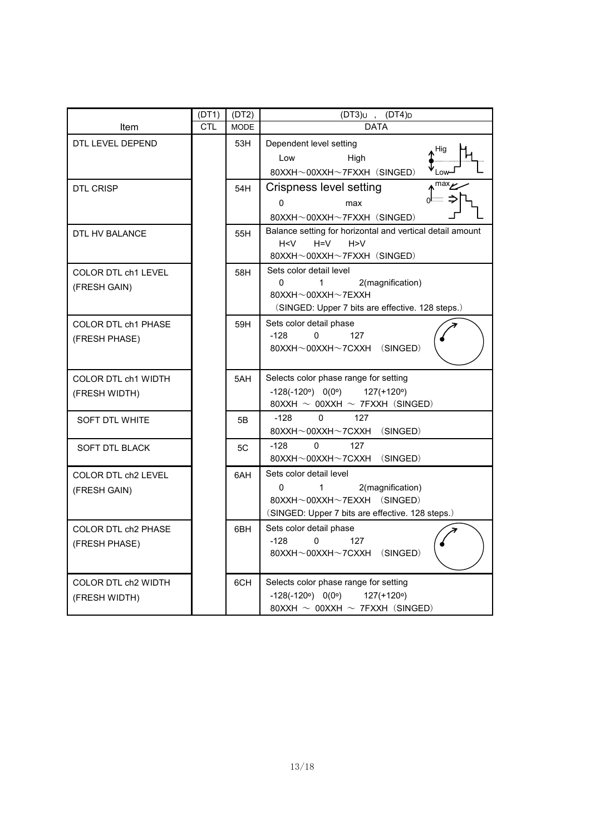|                                            | (DT1)      | (DT2)       | $(DT3)U$ , $(DT4)D$                                                  |
|--------------------------------------------|------------|-------------|----------------------------------------------------------------------|
| Item                                       | <b>CTL</b> | <b>MODE</b> | <b>DATA</b>                                                          |
| DTL LEVEL DEPEND                           |            | 53H         | Dependent level setting<br>Hig                                       |
|                                            |            |             | High<br>Low                                                          |
|                                            |            |             | 80XXH~00XXH~7FXXH (SINGED)<br>$-0v$                                  |
| <b>DTL CRISP</b>                           |            | 54H         | max<br>Crispness level setting                                       |
|                                            |            |             | 0<br>max                                                             |
|                                            |            |             | 80XXH~00XXH~7FXXH (SINGED)                                           |
| DTL HV BALANCE                             |            | 55H         | Balance setting for horizontal and vertical detail amount            |
|                                            |            |             | H > V<br>$H = V$<br>H < V<br>80XXH~00XXH~7FXXH (SINGED)              |
|                                            |            | 58H         | Sets color detail level                                              |
| <b>COLOR DTL ch1 LEVEL</b><br>(FRESH GAIN) |            |             | 2(magnification)<br>0<br>1                                           |
|                                            |            |             | 80XXH~00XXH~7EXXH                                                    |
|                                            |            |             | (SINGED: Upper 7 bits are effective. 128 steps.)                     |
| <b>COLOR DTL ch1 PHASE</b>                 |            | 59H         | Sets color detail phase                                              |
| (FRESH PHASE)                              |            |             | $-128$<br>$\Omega$<br>127                                            |
|                                            |            |             | 80XXH~00XXH~7CXXH (SINGED)                                           |
| COLOR DTL ch1 WIDTH                        |            | 5AH         | Selects color phase range for setting                                |
| (FRESH WIDTH)                              |            |             | $-128(-120°)$ 0(0°) $127(+120°)$                                     |
|                                            |            |             | 80XXH $\sim$ 00XXH $\sim$ 7FXXH (SINGED)                             |
| <b>SOFT DTL WHITE</b>                      |            | 5B          | $\Omega$<br>127<br>$-128$                                            |
|                                            |            |             | 80XXH~00XXH~7CXXH (SINGED)                                           |
| SOFT DTL BLACK                             |            | 5C          | 127<br>$-128$<br>0                                                   |
|                                            |            |             | 80XXH~00XXH~7CXXH (SINGED)                                           |
| COLOR DTL ch2 LEVEL                        |            | 6AH         | Sets color detail level                                              |
| (FRESH GAIN)                               |            |             | 2(magnification)<br>0<br>1<br>$80XXH \sim 00XXH \sim 7EXXH$ (SINGED) |
|                                            |            |             | (SINGED: Upper 7 bits are effective. 128 steps.)                     |
| COLOR DTL ch2 PHASE                        |            | 6BH         | Sets color detail phase                                              |
| (FRESH PHASE)                              |            |             | $-128$<br>0<br>127                                                   |
|                                            |            |             | 80XXH~00XXH~7CXXH (SINGED)                                           |
|                                            |            |             |                                                                      |
| COLOR DTL ch2 WIDTH                        |            | 6CH         | Selects color phase range for setting                                |
| (FRESH WIDTH)                              |            |             | $-128(-120°)$ 0(0°)<br>$127(+120°)$                                  |
|                                            |            |             | 80XXH $\sim$ 00XXH $\sim$ 7FXXH (SINGED)                             |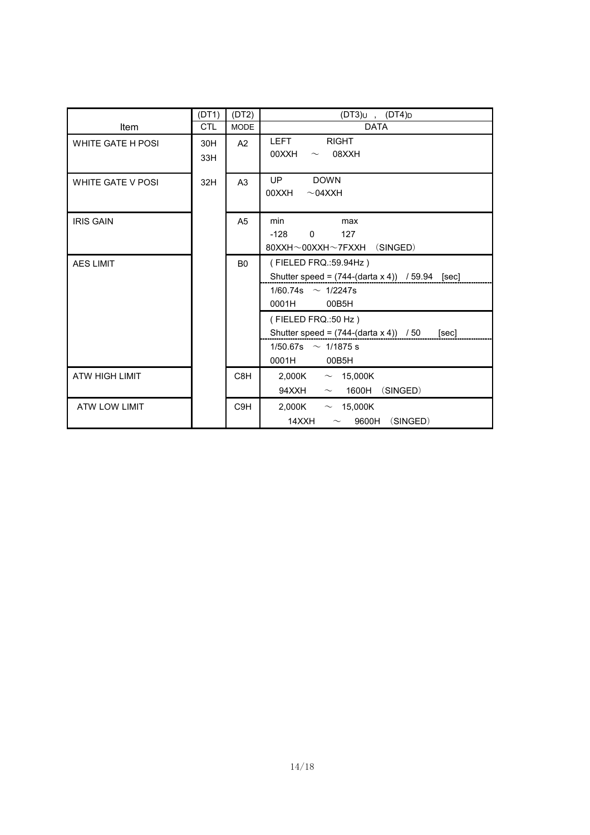|                       | (DT1)      | (DT2)            | $(DT3)U$ , $(DT4)D$                                          |
|-----------------------|------------|------------------|--------------------------------------------------------------|
| Item                  | <b>CTL</b> | <b>MODE</b>      | <b>DATA</b>                                                  |
| WHITE GATE H POSI     | 30H        | A2               | <b>LEFT</b><br><b>RIGHT</b><br>00XXH $\sim$<br>08XXH         |
|                       | 33H        |                  |                                                              |
| WHITE GATE V POSI     | 32H        | A <sub>3</sub>   | UP<br><b>DOWN</b>                                            |
|                       |            |                  | 00XXH<br>$\sim$ 04XXH                                        |
| <b>IRIS GAIN</b>      |            | A <sub>5</sub>   | min<br>max                                                   |
|                       |            |                  | $-128$ 0 127                                                 |
|                       |            |                  | 80XXH~00XXH~7FXXH (SINGED)                                   |
| <b>AES LIMIT</b>      |            | B <sub>0</sub>   | (FIELED FRQ.:59.94Hz)                                        |
|                       |            |                  | Shutter speed = $(744-(\text{data} \times 4))$ / 59.94 [sec] |
|                       |            |                  | $1/60.74s \sim 1/2247s$                                      |
|                       |            |                  | 0001H<br>00B5H                                               |
|                       |            |                  | (FIELED FRQ.:50 Hz)                                          |
|                       |            |                  | Shutter speed = $(744-(data \times 4))$ / 50 [sec]           |
|                       |            |                  | 1/50.67s $\sim$ 1/1875 s                                     |
|                       |            |                  | 0001H<br>00B5H                                               |
| <b>ATW HIGH LIMIT</b> |            | C8H              | 2,000K $\sim$ 15,000K                                        |
|                       |            |                  | $94XXH \sim 1600H$ (SINGED)                                  |
| <b>ATW LOW LIMIT</b>  |            | C <sub>9</sub> H | 2,000K $\sim$ 15,000K                                        |
|                       |            |                  | $\sim$ 9600H (SINGED)<br>14XXH                               |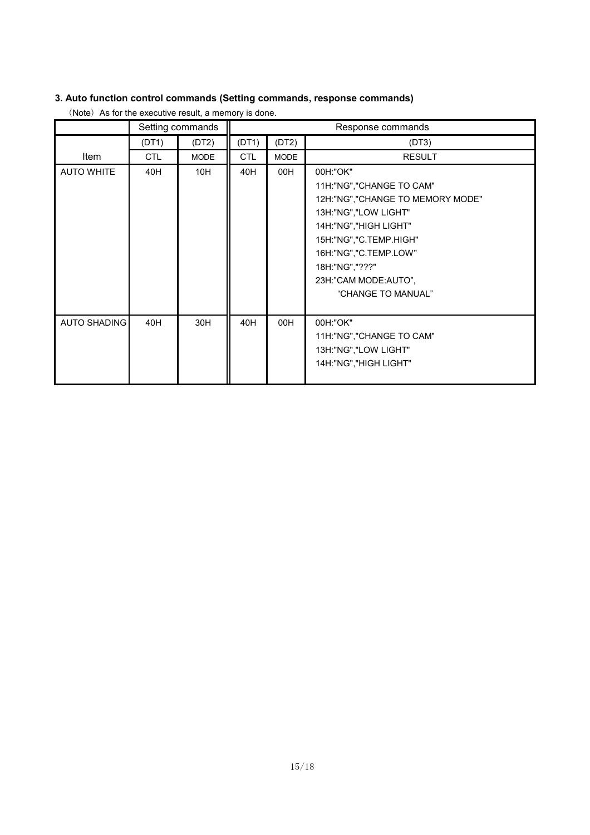# 3. Auto function control commands (Setting commands, response commands)

|                     |            | Setting commands | Response commands |             |                                                                                                                                                                                                                                              |  |  |
|---------------------|------------|------------------|-------------------|-------------|----------------------------------------------------------------------------------------------------------------------------------------------------------------------------------------------------------------------------------------------|--|--|
|                     | (DT1)      | (DT2)            | (DT1)             | (DT2)       | (DT3)                                                                                                                                                                                                                                        |  |  |
| Item                | <b>CTL</b> | <b>MODE</b>      | <b>CTL</b>        | <b>MODE</b> | <b>RESULT</b>                                                                                                                                                                                                                                |  |  |
| <b>AUTO WHITE</b>   | 40H        | 10H              | 40H               | 00H         | 00H:"OK"<br>11H:"NG","CHANGE TO CAM"<br>12H:"NG","CHANGE TO MEMORY MODE"<br>13H:"NG","LOW LIGHT"<br>14H:"NG","HIGH LIGHT"<br>15H:"NG","C.TEMP.HIGH"<br>16H:"NG","C.TEMP.LOW"<br>18H:"NG","???"<br>23H:"CAM MODE:AUTO",<br>"CHANGE TO MANUAL" |  |  |
| <b>AUTO SHADING</b> | 40H        | 30H              | 40H               | 00H         | 00H:"OK"<br>11H:"NG","CHANGE TO CAM"<br>13H:"NG","LOW LIGHT"<br>14H:"NG","HIGH LIGHT"                                                                                                                                                        |  |  |

(Note) As for the executive result, a memory is done.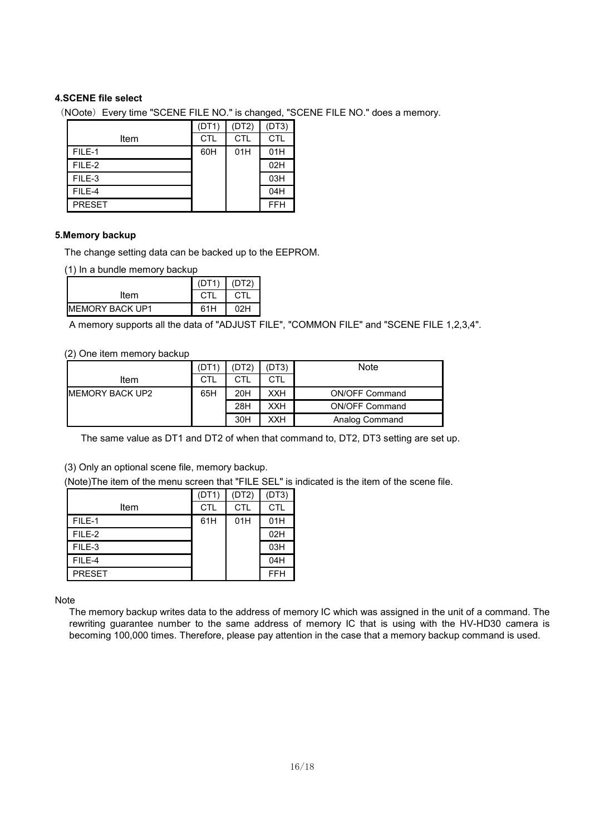## 4.SCENE file select

(NOote) Every time "SCENE FILE NO." is changed, "SCENE FILE NO." does a memory.

|               | (DT1) | (DT2)      | (DT3)      |
|---------------|-------|------------|------------|
| Item          | CTL   | <b>CTL</b> | <b>CTL</b> |
| FILE-1        | 60H   | 01H        | 01H        |
| FILE-2        |       |            | 02H        |
| FILE-3        |       |            | 03H        |
| FILE-4        |       |            | 04H        |
| <b>PRESET</b> |       |            | <b>FFH</b> |

#### 5.Memory backup

The change setting data can be backed up to the EEPROM.

(1) In a bundle memory backup

|                         | (DT1) | (DT2) |
|-------------------------|-------|-------|
| Item                    |       |       |
| <b>IMEMORY BACK UP1</b> | 61H   | 02H   |

A memory supports all the data of "ADJUST FILE", "COMMON FILE" and "SCENE FILE 1,2,3,4".

(2) One item memory backup

|                        |            | DT <sub>2</sub> | (DT3 | <b>Note</b>           |
|------------------------|------------|-----------------|------|-----------------------|
| Item                   | <b>CTL</b> | CTL             |      |                       |
| <b>MEMORY BACK UP2</b> | 65H        | 20H             | XXH  | <b>ON/OFF Command</b> |
|                        |            | 28H             | XXH  | <b>ON/OFF Command</b> |
|                        |            | 30H             | XXH  | Analog Command        |

The same value as DT1 and DT2 of when that command to, DT2, DT3 setting are set up.

(3) Only an optional scene file, memory backup.

(Note)The item of the menu screen that "FILE SEL" is indicated is the item of the scene file.

|               | (DT1)      | (DT2)      | (DT3)      |
|---------------|------------|------------|------------|
| Item          | <b>CTL</b> | <b>CTL</b> | <b>CTL</b> |
| FILE-1        | 61H        | 01H        | 01H        |
| FILE-2        |            |            | 02H        |
| FILE-3        |            |            | 03H        |
| FILE-4        |            |            | 04H        |
| <b>PRESET</b> |            |            | <b>FFH</b> |

Note

The memory backup writes data to the address of memory IC which was assigned in the unit of a command. The rewriting guarantee number to the same address of memory IC that is using with the HV-HD30 camera is becoming 100,000 times. Therefore, please pay attention in the case that a memory backup command is used.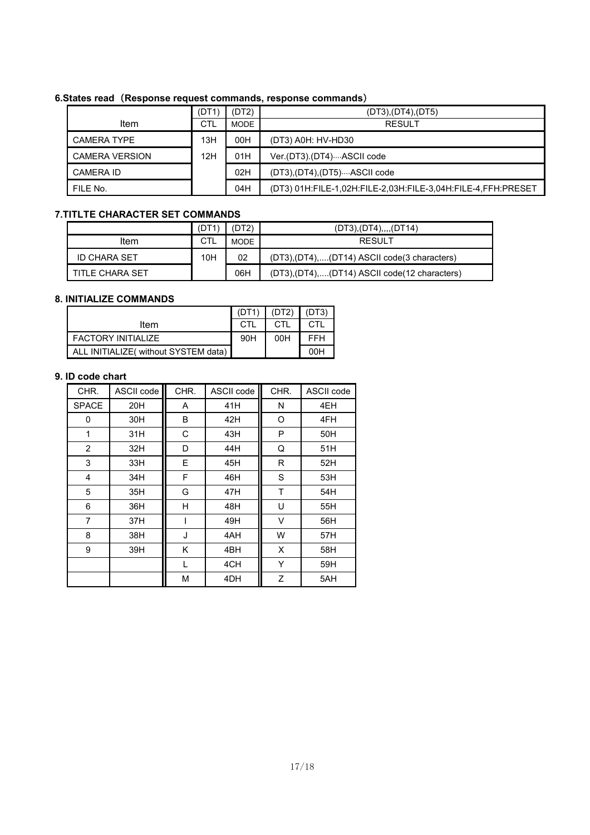# 6.States read (Response request commands, response commands)

|                       | (DT1) | (DT2) | (DT3),(DT4),(DT5)                                            |
|-----------------------|-------|-------|--------------------------------------------------------------|
| Item                  | CTL   | MODE  | <b>RESULT</b>                                                |
| <b>CAMERA TYPE</b>    | 13H   | 00H   | (DT3) A0H: HV-HD30                                           |
| <b>CAMERA VERSION</b> | 12H   | 01H   | Ver.(DT3).(DT4)ASCII code                                    |
| CAMERA ID             |       | 02H   | $(DT3)$ , $(DT4)$ , $(DT5)$ $ASCII$ code                     |
| FILE No.              |       | 04H   | (DT3) 01H:FILE-1,02H:FILE-2,03H:FILE-3,04H:FILE-4,FFH:PRESET |

# 7.TITLTE CHARACTER SET COMMANDS

|                     | (DT1) | (DT2) | (DT3), (DT4), , (DT14)                         |
|---------------------|-------|-------|------------------------------------------------|
| Item                | CTL   | MODE  | <b>RESULT</b>                                  |
| <b>ID CHARA SET</b> | 10H   | 02    | (DT3), (DT4), (DT14) ASCII code (3 characters) |
| TITLE CHARA SET     |       | 06H   | (DT3), (DT4),(DT14) ASCII code (12 characters) |

## 8. INITIALIZE COMMANDS

| ltem                                 | CTL. | CTI | CTI |
|--------------------------------------|------|-----|-----|
| <b>FACTORY INITIALIZE</b>            | 90H  | 00H | FFH |
| ALL INITIALIZE( without SYSTEM data) |      |     | 00H |

## 9. ID code chart

| CHR.           | <b>ASCII code</b> | CHR. | ASCII code | CHR. | ASCII code |
|----------------|-------------------|------|------------|------|------------|
| <b>SPACE</b>   | 20H               | A    | 41H        | N    | 4EH        |
| 0              | 30H               | B    | 42H        | O    | 4FH        |
| 1              | 31H               | С    | 43H        | P    | 50H        |
| $\overline{2}$ | 32H               | D    | 44H        | Q    | 51H        |
| 3              | 33H               | E    | 45H        | R    | 52H        |
| 4              | 34H               | F    | 46H        | S    | 53H        |
| 5              | 35H               | G    | 47H        | Τ    | 54H        |
| 6              | 36H               | н    | 48H        | U    | 55H        |
| $\overline{7}$ | 37H               |      | 49H        | V    | 56H        |
| 8              | 38H               | J    | 4AH        | W    | 57H        |
| 9              | 39H               | K    | 4BH        | X    | 58H        |
|                |                   |      | 4CH        | Y    | 59H        |
|                |                   | M    | 4DH        | Z    | 5AH        |